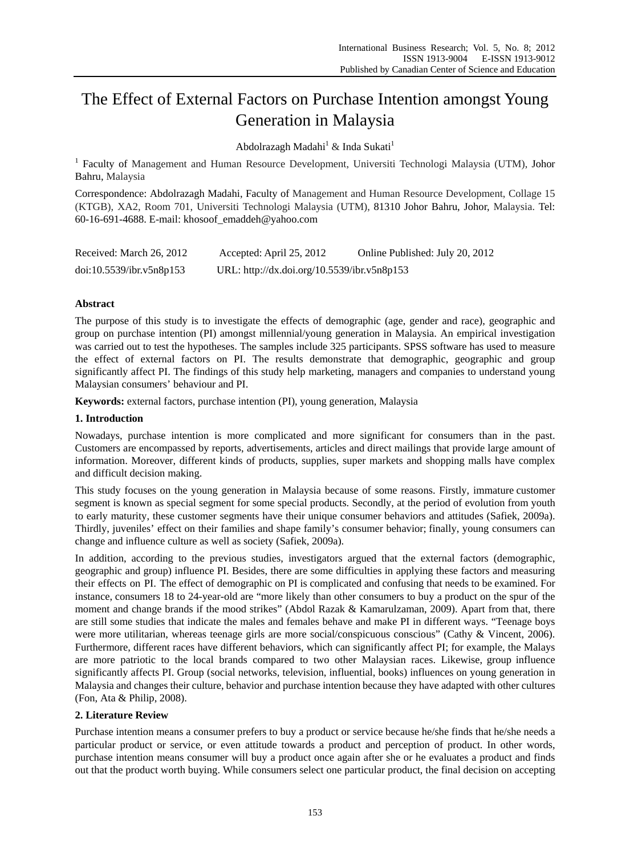# The Effect of External Factors on Purchase Intention amongst Young Generation in Malaysia

Abdolrazagh Madahi $^1$  & Inda Sukati $^1$ 

<sup>1</sup> Faculty of Management and Human Resource Development, Universiti Technologi Malaysia (UTM), Johor Bahru, Malaysia

Correspondence: Abdolrazagh Madahi, Faculty of Management and Human Resource Development, Collage 15 (KTGB), XA2, Room 701, Universiti Technologi Malaysia (UTM), 81310 Johor Bahru, Johor, Malaysia. Tel: 60-16-691-4688. E-mail: khosoof\_emaddeh@yahoo.com

| Received: March 26, 2012 | Accepted: April 25, 2012                    | Online Published: July 20, 2012 |
|--------------------------|---------------------------------------------|---------------------------------|
| doi:10.5539/ibr.v5n8p153 | URL: http://dx.doi.org/10.5539/ibr.v5n8p153 |                                 |

## **Abstract**

The purpose of this study is to investigate the effects of demographic (age, gender and race), geographic and group on purchase intention (PI) amongst millennial/young generation in Malaysia. An empirical investigation was carried out to test the hypotheses. The samples include 325 participants. SPSS software has used to measure the effect of external factors on PI. The results demonstrate that demographic, geographic and group significantly affect PI. The findings of this study help marketing, managers and companies to understand young Malaysian consumers' behaviour and PI.

**Keywords:** external factors, purchase intention (PI), young generation, Malaysia

## **1. Introduction**

Nowadays, purchase intention is more complicated and more significant for consumers than in the past. Customers are encompassed by reports, advertisements, articles and direct mailings that provide large amount of information. Moreover, different kinds of products, supplies, super markets and shopping malls have complex and difficult decision making.

This study focuses on the young generation in Malaysia because of some reasons. Firstly, immature customer segment is known as special segment for some special products. Secondly, at the period of evolution from youth to early maturity, these customer segments have their unique consumer behaviors and attitudes (Safiek, 2009a). Thirdly, juveniles' effect on their families and shape family's consumer behavior; finally, young consumers can change and influence culture as well as society (Safiek, 2009a).

In addition, according to the previous studies, investigators argued that the external factors (demographic, geographic and group) influence PI. Besides, there are some difficulties in applying these factors and measuring their effects on PI. The effect of demographic on PI is complicated and confusing that needs to be examined. For instance, consumers 18 to 24-year-old are "more likely than other consumers to buy a product on the spur of the moment and change brands if the mood strikes" (Abdol Razak & Kamarulzaman, 2009). Apart from that, there are still some studies that indicate the males and females behave and make PI in different ways. "Teenage boys were more utilitarian, whereas teenage girls are more social/conspicuous conscious" (Cathy & Vincent, 2006). Furthermore, different races have different behaviors, which can significantly affect PI; for example, the Malays are more patriotic to the local brands compared to two other Malaysian races. Likewise, group influence significantly affects PI. Group (social networks, television, influential, books) influences on young generation in Malaysia and changes their culture, behavior and purchase intention because they have adapted with other cultures (Fon, Ata & Philip, 2008).

# **2. Literature Review**

Purchase intention means a consumer prefers to buy a product or service because he/she finds that he/she needs a particular product or service, or even attitude towards a product and perception of product. In other words, purchase intention means consumer will buy a product once again after she or he evaluates a product and finds out that the product worth buying. While consumers select one particular product, the final decision on accepting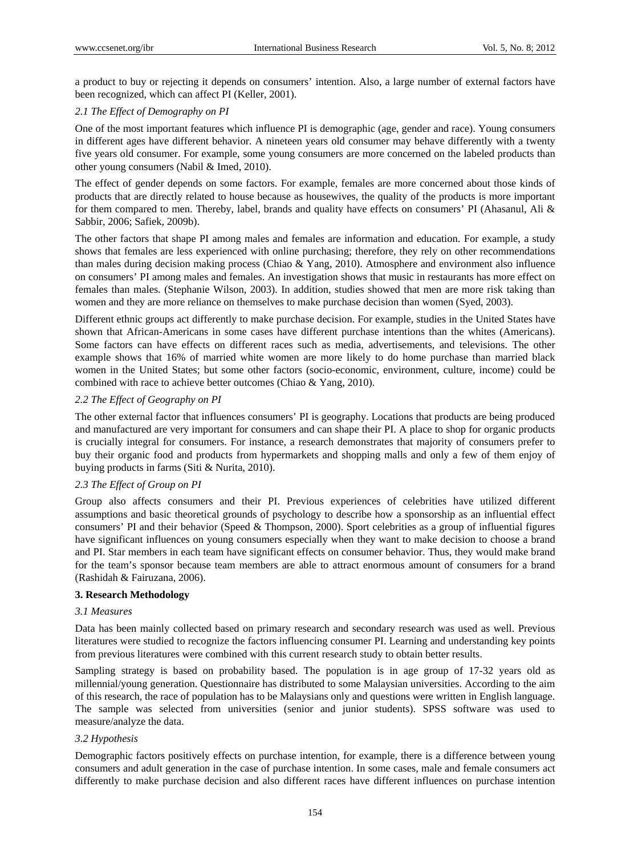a product to buy or rejecting it depends on consumers' intention. Also, a large number of external factors have been recognized, which can affect PI (Keller, 2001).

## *2.1 The Effect of Demography on PI*

One of the most important features which influence PI is demographic (age, gender and race). Young consumers in different ages have different behavior. A nineteen years old consumer may behave differently with a twenty five years old consumer. For example, some young consumers are more concerned on the labeled products than other young consumers (Nabil & Imed, 2010).

The effect of gender depends on some factors. For example, females are more concerned about those kinds of products that are directly related to house because as housewives, the quality of the products is more important for them compared to men. Thereby, label, brands and quality have effects on consumers' PI (Ahasanul, Ali & Sabbir, 2006; Safiek, 2009b).

The other factors that shape PI among males and females are information and education. For example, a study shows that females are less experienced with online purchasing; therefore, they rely on other recommendations than males during decision making process (Chiao & Yang, 2010). Atmosphere and environment also influence on consumers' PI among males and females. An investigation shows that music in restaurants has more effect on females than males. (Stephanie Wilson, 2003). In addition, studies showed that men are more risk taking than women and they are more reliance on themselves to make purchase decision than women (Syed, 2003).

Different ethnic groups act differently to make purchase decision. For example, studies in the United States have shown that African-Americans in some cases have different purchase intentions than the whites (Americans). Some factors can have effects on different races such as media, advertisements, and televisions. The other example shows that 16% of married white women are more likely to do home purchase than married black women in the United States; but some other factors (socio-economic, environment, culture, income) could be combined with race to achieve better outcomes (Chiao & Yang, 2010).

## *2.2 The Effect of Geography on PI*

The other external factor that influences consumers' PI is geography. Locations that products are being produced and manufactured are very important for consumers and can shape their PI. A place to shop for organic products is crucially integral for consumers. For instance, a research demonstrates that majority of consumers prefer to buy their organic food and products from hypermarkets and shopping malls and only a few of them enjoy of buying products in farms (Siti & Nurita, 2010).

## *2.3 The Effect of Group on PI*

Group also affects consumers and their PI. Previous experiences of celebrities have utilized different assumptions and basic theoretical grounds of psychology to describe how a sponsorship as an influential effect consumers' PI and their behavior (Speed & Thompson, 2000). Sport celebrities as a group of influential figures have significant influences on young consumers especially when they want to make decision to choose a brand and PI. Star members in each team have significant effects on consumer behavior. Thus, they would make brand for the team's sponsor because team members are able to attract enormous amount of consumers for a brand (Rashidah & Fairuzana, 2006).

## **3. Research Methodology**

## *3.1 Measures*

Data has been mainly collected based on primary research and secondary research was used as well. Previous literatures were studied to recognize the factors influencing consumer PI. Learning and understanding key points from previous literatures were combined with this current research study to obtain better results.

Sampling strategy is based on probability based. The population is in age group of 17-32 years old as millennial/young generation. Questionnaire has distributed to some Malaysian universities. According to the aim of this research, the race of population has to be Malaysians only and questions were written in English language. The sample was selected from universities (senior and junior students). SPSS software was used to measure/analyze the data.

## *3.2 Hypothesis*

Demographic factors positively effects on purchase intention, for example, there is a difference between young consumers and adult generation in the case of purchase intention. In some cases, male and female consumers act differently to make purchase decision and also different races have different influences on purchase intention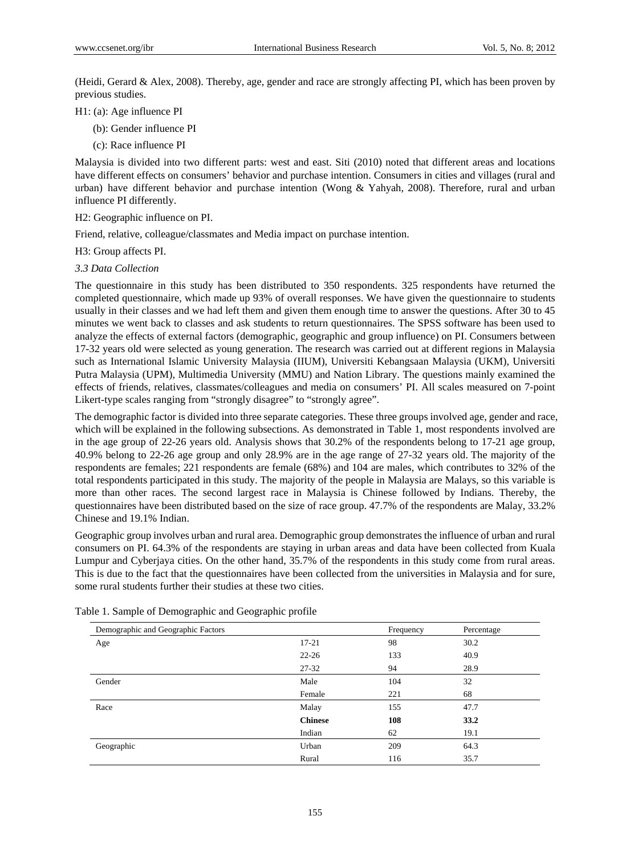(Heidi, Gerard & Alex, 2008). Thereby, age, gender and race are strongly affecting PI, which has been proven by previous studies.

- H1: (a): Age influence PI
	- (b): Gender influence PI
	- (c): Race influence PI

Malaysia is divided into two different parts: west and east. Siti (2010) noted that different areas and locations have different effects on consumers' behavior and purchase intention. Consumers in cities and villages (rural and urban) have different behavior and purchase intention (Wong & Yahyah, 2008). Therefore, rural and urban influence PI differently.

H2: Geographic influence on PI.

Friend, relative, colleague/classmates and Media impact on purchase intention.

H3: Group affects PI.

*3.3 Data Collection* 

The questionnaire in this study has been distributed to 350 respondents. 325 respondents have returned the completed questionnaire, which made up 93% of overall responses. We have given the questionnaire to students usually in their classes and we had left them and given them enough time to answer the questions. After 30 to 45 minutes we went back to classes and ask students to return questionnaires. The SPSS software has been used to analyze the effects of external factors (demographic, geographic and group influence) on PI. Consumers between 17-32 years old were selected as young generation. The research was carried out at different regions in Malaysia such as International Islamic University Malaysia (IIUM), Universiti Kebangsaan Malaysia (UKM), Universiti Putra Malaysia (UPM), Multimedia University (MMU) and Nation Library. The questions mainly examined the effects of friends, relatives, classmates/colleagues and media on consumers' PI. All scales measured on 7-point Likert-type scales ranging from "strongly disagree" to "strongly agree".

The demographic factor is divided into three separate categories. These three groups involved age, gender and race, which will be explained in the following subsections. As demonstrated in Table 1, most respondents involved are in the age group of 22-26 years old. Analysis shows that 30.2% of the respondents belong to 17-21 age group, 40.9% belong to 22-26 age group and only 28.9% are in the age range of 27-32 years old. The majority of the respondents are females; 221 respondents are female (68%) and 104 are males, which contributes to 32% of the total respondents participated in this study. The majority of the people in Malaysia are Malays, so this variable is more than other races. The second largest race in Malaysia is Chinese followed by Indians. Thereby, the questionnaires have been distributed based on the size of race group. 47.7% of the respondents are Malay, 33.2% Chinese and 19.1% Indian.

Geographic group involves urban and rural area. Demographic group demonstrates the influence of urban and rural consumers on PI. 64.3% of the respondents are staying in urban areas and data have been collected from Kuala Lumpur and Cyberjaya cities. On the other hand, 35.7% of the respondents in this study come from rural areas. This is due to the fact that the questionnaires have been collected from the universities in Malaysia and for sure, some rural students further their studies at these two cities.

| Demographic and Geographic Factors |                | Frequency | Percentage |
|------------------------------------|----------------|-----------|------------|
| Age                                | $17 - 21$      | 98        | 30.2       |
|                                    | $22 - 26$      | 133       | 40.9       |
|                                    | $27 - 32$      | 94        | 28.9       |
| Gender                             | Male           | 104       | 32         |
|                                    | Female         | 221       | 68         |
| Race                               | Malay          | 155       | 47.7       |
|                                    | <b>Chinese</b> | 108       | 33.2       |
|                                    | Indian         | 62        | 19.1       |
| Geographic                         | Urban          | 209       | 64.3       |
|                                    | Rural          | 116       | 35.7       |

Table 1. Sample of Demographic and Geographic profile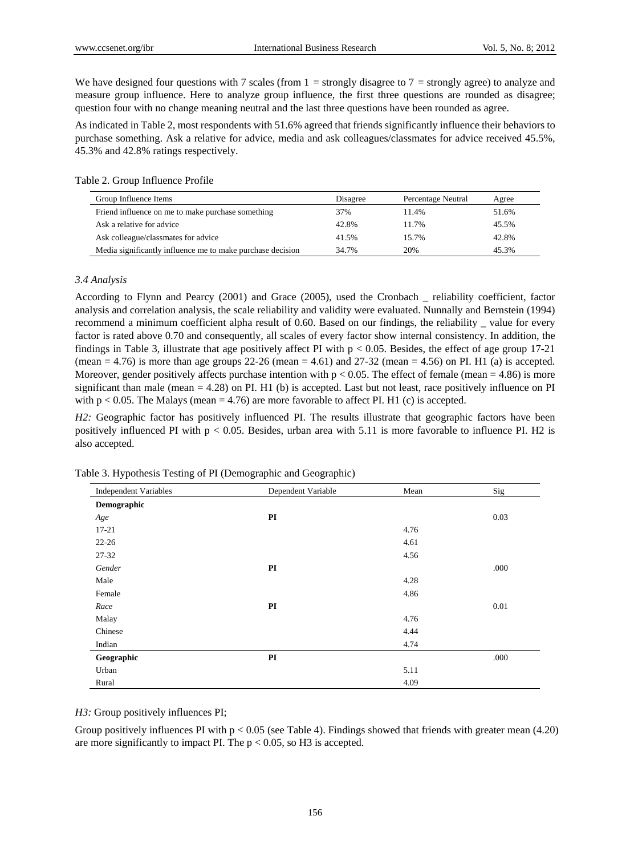We have designed four questions with 7 scales (from  $1 =$  strongly disagree to  $7 =$  strongly agree) to analyze and measure group influence. Here to analyze group influence, the first three questions are rounded as disagree; question four with no change meaning neutral and the last three questions have been rounded as agree.

As indicated in Table 2, most respondents with 51.6% agreed that friends significantly influence their behaviors to purchase something. Ask a relative for advice, media and ask colleagues/classmates for advice received 45.5%, 45.3% and 42.8% ratings respectively.

#### Table 2. Group Influence Profile

| Group Influence Items                                      | Disagree | Percentage Neutral | Agree |
|------------------------------------------------------------|----------|--------------------|-------|
| Friend influence on me to make purchase something          | 37%      | 11.4%              | 51.6% |
| Ask a relative for advice                                  | 42.8%    | 11.7%              | 45.5% |
| Ask colleague/classmates for advice                        | 41.5%    | 15.7%              | 42.8% |
| Media significantly influence me to make purchase decision | 34.7%    | 20%                | 45.3% |

#### *3.4 Analysis*

According to Flynn and Pearcy (2001) and Grace (2005), used the Cronbach \_ reliability coefficient, factor analysis and correlation analysis, the scale reliability and validity were evaluated. Nunnally and Bernstein (1994) recommend a minimum coefficient alpha result of 0.60. Based on our findings, the reliability \_ value for every factor is rated above 0.70 and consequently, all scales of every factor show internal consistency. In addition, the findings in Table 3, illustrate that age positively affect PI with  $p < 0.05$ . Besides, the effect of age group 17-21 (mean  $= 4.76$ ) is more than age groups 22-26 (mean  $= 4.61$ ) and 27-32 (mean  $= 4.56$ ) on PI. H1 (a) is accepted. Moreover, gender positively affects purchase intention with  $p < 0.05$ . The effect of female (mean = 4.86) is more significant than male (mean  $= 4.28$ ) on PI. H1 (b) is accepted. Last but not least, race positively influence on PI with  $p < 0.05$ . The Malays (mean = 4.76) are more favorable to affect PI. H1 (c) is accepted.

*H2:* Geographic factor has positively influenced PI. The results illustrate that geographic factors have been positively influenced PI with p < 0.05. Besides, urban area with 5.11 is more favorable to influence PI. H2 is also accepted.

| <b>Independent Variables</b> | Dependent Variable | Mean | Sig  |
|------------------------------|--------------------|------|------|
| Demographic                  |                    |      |      |
| Age                          | PI                 |      | 0.03 |
| $17 - 21$                    |                    | 4.76 |      |
| $22 - 26$                    |                    | 4.61 |      |
| $27 - 32$                    |                    | 4.56 |      |
| Gender                       | PI                 |      | .000 |
| Male                         |                    | 4.28 |      |
| Female                       |                    | 4.86 |      |
| Race                         | PI                 |      | 0.01 |
| Malay                        |                    | 4.76 |      |
| Chinese                      |                    | 4.44 |      |
| Indian                       |                    | 4.74 |      |
| Geographic                   | PI                 |      | .000 |
| Urban                        |                    | 5.11 |      |
| Rural                        |                    | 4.09 |      |

Table 3. Hypothesis Testing of PI (Demographic and Geographic)

*H3:* Group positively influences PI;

Group positively influences PI with  $p < 0.05$  (see Table 4). Findings showed that friends with greater mean (4.20) are more significantly to impact PI. The  $p < 0.05$ , so H3 is accepted.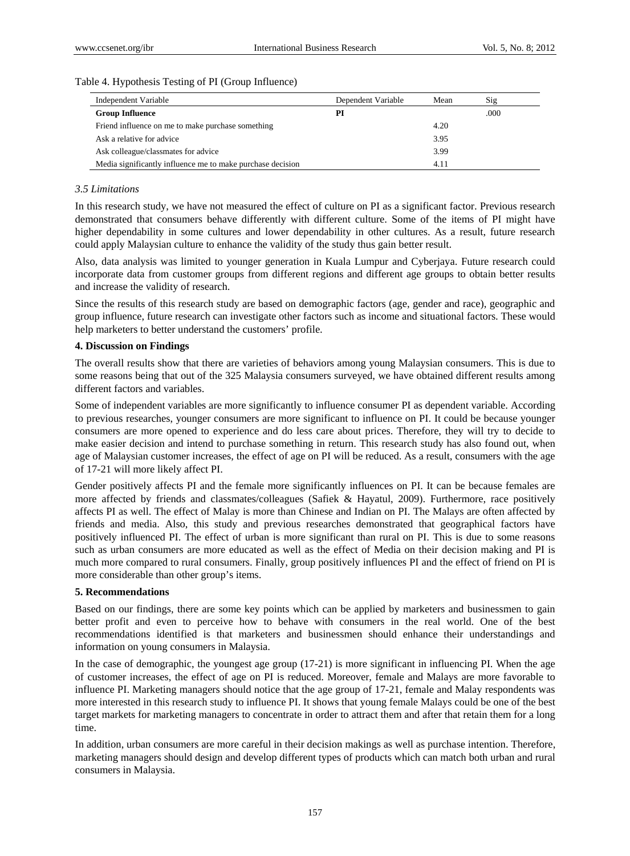## Table 4. Hypothesis Testing of PI (Group Influence)

| Independent Variable                                       | Dependent Variable | Mean | Sig  |
|------------------------------------------------------------|--------------------|------|------|
| <b>Group Influence</b>                                     | PI                 |      | .000 |
| Friend influence on me to make purchase something          |                    | 4.20 |      |
| Ask a relative for advice                                  |                    | 3.95 |      |
| Ask colleague/classmates for advice                        |                    | 3.99 |      |
| Media significantly influence me to make purchase decision |                    | 4.11 |      |

# *3.5 Limitations*

In this research study, we have not measured the effect of culture on PI as a significant factor. Previous research demonstrated that consumers behave differently with different culture. Some of the items of PI might have higher dependability in some cultures and lower dependability in other cultures. As a result, future research could apply Malaysian culture to enhance the validity of the study thus gain better result.

Also, data analysis was limited to younger generation in Kuala Lumpur and Cyberjaya. Future research could incorporate data from customer groups from different regions and different age groups to obtain better results and increase the validity of research.

Since the results of this research study are based on demographic factors (age, gender and race), geographic and group influence, future research can investigate other factors such as income and situational factors. These would help marketers to better understand the customers' profile.

## **4. Discussion on Findings**

The overall results show that there are varieties of behaviors among young Malaysian consumers. This is due to some reasons being that out of the 325 Malaysia consumers surveyed, we have obtained different results among different factors and variables.

Some of independent variables are more significantly to influence consumer PI as dependent variable. According to previous researches, younger consumers are more significant to influence on PI. It could be because younger consumers are more opened to experience and do less care about prices. Therefore, they will try to decide to make easier decision and intend to purchase something in return. This research study has also found out, when age of Malaysian customer increases, the effect of age on PI will be reduced. As a result, consumers with the age of 17-21 will more likely affect PI.

Gender positively affects PI and the female more significantly influences on PI. It can be because females are more affected by friends and classmates/colleagues (Safiek & Hayatul, 2009). Furthermore, race positively affects PI as well. The effect of Malay is more than Chinese and Indian on PI. The Malays are often affected by friends and media. Also, this study and previous researches demonstrated that geographical factors have positively influenced PI. The effect of urban is more significant than rural on PI. This is due to some reasons such as urban consumers are more educated as well as the effect of Media on their decision making and PI is much more compared to rural consumers. Finally, group positively influences PI and the effect of friend on PI is more considerable than other group's items.

#### **5. Recommendations**

Based on our findings, there are some key points which can be applied by marketers and businessmen to gain better profit and even to perceive how to behave with consumers in the real world. One of the best recommendations identified is that marketers and businessmen should enhance their understandings and information on young consumers in Malaysia.

In the case of demographic, the youngest age group (17-21) is more significant in influencing PI. When the age of customer increases, the effect of age on PI is reduced. Moreover, female and Malays are more favorable to influence PI. Marketing managers should notice that the age group of 17-21, female and Malay respondents was more interested in this research study to influence PI. It shows that young female Malays could be one of the best target markets for marketing managers to concentrate in order to attract them and after that retain them for a long time.

In addition, urban consumers are more careful in their decision makings as well as purchase intention. Therefore, marketing managers should design and develop different types of products which can match both urban and rural consumers in Malaysia.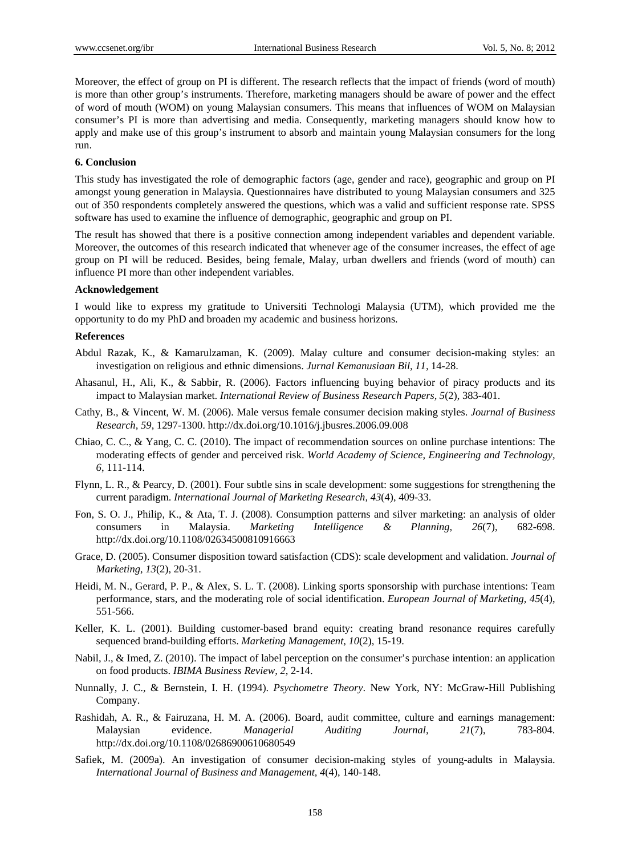Moreover, the effect of group on PI is different. The research reflects that the impact of friends (word of mouth) is more than other group's instruments. Therefore, marketing managers should be aware of power and the effect of word of mouth (WOM) on young Malaysian consumers. This means that influences of WOM on Malaysian consumer's PI is more than advertising and media. Consequently, marketing managers should know how to apply and make use of this group's instrument to absorb and maintain young Malaysian consumers for the long run.

## **6. Conclusion**

This study has investigated the role of demographic factors (age, gender and race), geographic and group on PI amongst young generation in Malaysia. Questionnaires have distributed to young Malaysian consumers and 325 out of 350 respondents completely answered the questions, which was a valid and sufficient response rate. SPSS software has used to examine the influence of demographic, geographic and group on PI.

The result has showed that there is a positive connection among independent variables and dependent variable. Moreover, the outcomes of this research indicated that whenever age of the consumer increases, the effect of age group on PI will be reduced. Besides, being female, Malay, urban dwellers and friends (word of mouth) can influence PI more than other independent variables.

## **Acknowledgement**

I would like to express my gratitude to Universiti Technologi Malaysia (UTM), which provided me the opportunity to do my PhD and broaden my academic and business horizons.

## **References**

- Abdul Razak, K., & Kamarulzaman, K. (2009). Malay culture and consumer decision-making styles: an investigation on religious and ethnic dimensions. *Jurnal Kemanusiaan Bil, 11,* 14-28.
- Ahasanul, H., Ali, K., & Sabbir, R. (2006). Factors influencing buying behavior of piracy products and its impact to Malaysian market. *International Review of Business Research Papers, 5*(2), 383-401.
- Cathy, B., & Vincent, W. M. (2006). Male versus female consumer decision making styles. *Journal of Business Research, 59*, 1297-1300. http://dx.doi.org/10.1016/j.jbusres.2006.09.008
- Chiao, C. C., & Yang, C. C. (2010). The impact of recommendation sources on online purchase intentions: The moderating effects of gender and perceived risk. *World Academy of Science, Engineering and Technology, 6*, 111-114.
- Flynn, L. R., & Pearcy, D. (2001). Four subtle sins in scale development: some suggestions for strengthening the current paradigm. *International Journal of Marketing Research, 43*(4), 409-33.
- Fon, S. O. J., Philip, K., & Ata, T. J. (2008). Consumption patterns and silver marketing: an analysis of older consumers in Malaysia. *Marketing Intelligence & Planning, 26*(7), 682-698. http://dx.doi.org/10.1108/02634500810916663
- Grace, D. (2005). Consumer disposition toward satisfaction (CDS): scale development and validation. *Journal of Marketing, 13*(2), 20-31.
- Heidi, M. N., Gerard, P. P., & Alex, S. L. T. (2008). Linking sports sponsorship with purchase intentions: Team performance, stars, and the moderating role of social identification. *European Journal of Marketing, 45*(4), 551-566.
- Keller, K. L. (2001). Building customer-based brand equity: creating brand resonance requires carefully sequenced brand-building efforts. *Marketing Management, 10*(2), 15-19.
- Nabil, J., & Imed, Z. (2010). The impact of label perception on the consumer's purchase intention: an application on food products. *IBIMA Business Review, 2*, 2-14.
- Nunnally, J. C., & Bernstein, I. H. (1994). *Psychometre Theory*. New York, NY: McGraw-Hill Publishing Company.
- Rashidah, A. R., & Fairuzana, H. M. A. (2006). Board, audit committee, culture and earnings management: Malaysian evidence. *Managerial Auditing Journal, 21*(7), 783-804. http://dx.doi.org/10.1108/02686900610680549
- Safiek, M. (2009a). An investigation of consumer decision-making styles of young-adults in Malaysia. *International Journal of Business and Management, 4*(4), 140-148.